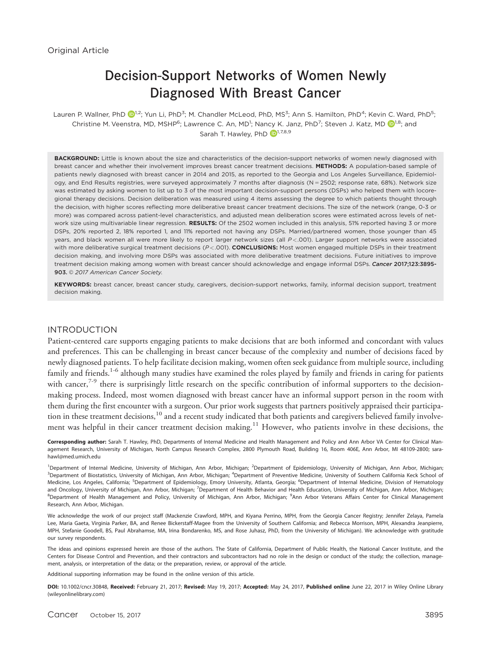# Decision-Support Networks of Women Newly Diagnosed With Breast Cancer

Lauren P. Wallner, PhD  $\bullet$ [1](http://orcid.org/0000-0002-1279-8617).2; Yun Li, PhD<sup>3</sup>; M. Chandler McLeod, PhD, MS<sup>3</sup>; Ann S. Hamilton, PhD<sup>4</sup>; Kevin C. Ward, PhD<sup>5</sup>; Christine M. Veenstra, MD, MSHP<sup>6</sup>; Lawrence C. An, MD<sup>[1](http://orcid.org/0000-0002-1151-861X)</sup>; Nancy K. Janz, PhD<sup>7</sup>; Steven J. Katz, MD  $\bigcirc^{1,8}$ ; and Sarah T. Hawley, PhD  $\mathbb{D}^{1,7,8,9}$ 

BACKGROUND: Little is known about the size and characteristics of the decision-support networks of women newly diagnosed with breast cancer and whether their involvement improves breast cancer treatment decisions. METHODS: A population-based sample of patients newly diagnosed with breast cancer in 2014 and 2015, as reported to the Georgia and Los Angeles Surveillance, Epidemiology, and End Results registries, were surveyed approximately 7 months after diagnosis (N = 2502; response rate, 68%). Network size was estimated by asking women to list up to 3 of the most important decision-support persons (DSPs) who helped them with locoregional therapy decisions. Decision deliberation was measured using 4 items assessing the degree to which patients thought through the decision, with higher scores reflecting more deliberative breast cancer treatment decisions. The size of the network (range, 0-3 or more) was compared across patient-level characteristics, and adjusted mean deliberation scores were estimated across levels of network size using multivariable linear regression. RESULTS: Of the 2502 women included in this analysis, 51% reported having 3 or more DSPs, 20% reported 2, 18% reported 1, and 11% reported not having any DSPs. Married/partnered women, those younger than 45 years, and black women all were more likely to report larger network sizes (all P<.001). Larger support networks were associated with more deliberative surgical treatment decisions (P<.001). CONCLUSIONS: Most women engaged multiple DSPs in their treatment decision making, and involving more DSPs was associated with more deliberative treatment decisions. Future initiatives to improve treatment decision making among women with breast cancer should acknowledge and engage informal DSPs. Cancer 2017;123:3895-903. © 2017 American Cancer Society.

KEYWORDS: breast cancer, breast cancer study, caregivers, decision-support networks, family, informal decision support, treatment decision making.

## INTRODUCTION

Patient-centered care supports engaging patients to make decisions that are both informed and concordant with values and preferences. This can be challenging in breast cancer because of the complexity and number of decisions faced by newly diagnosed patients. To help facilitate decision making, women often seek guidance from multiple source, including family and friends.<sup>1-6</sup> although many studies have examined the roles played by family and friends in caring for patients with cancer, $7-9$  there is surprisingly little research on the specific contribution of informal supporters to the decisionmaking process. Indeed, most women diagnosed with breast cancer have an informal support person in the room with them during the first encounter with a surgeon. Our prior work suggests that partners positively appraised their participation in these treatment decisions,  $10$  and a recent study indicated that both patients and caregivers believed family involvement was helpful in their cancer treatment decision making.<sup>11</sup> However, who patients involve in these decisions, the

Corresponding author: Sarah T. Hawley, PhD, Departments of Internal Medicine and Health Management and Policy and Ann Arbor VA Center for Clinical Management Research, University of Michigan, North Campus Research Complex, 2800 Plymouth Road, Building 16, Room 406E, Ann Arbor, MI 48109-2800; sarahawl@med.umich.edu

<sup>1</sup>Department of Internal Medicine, University of Michigan, Ann Arbor, Michigan; <sup>2</sup>Department of Epidemiology, University of Michigan, Ann Arbor, Michigan; <sup>3</sup>Department of Biostatistics, University of Michigan, Ann Arbor, Michigan; <sup>4</sup>Department of Preventive Medicine, University of Southern California Keck School of Medicine, Los Angeles, California; <sup>5</sup>Department of Epidemiology, Emory University, Atlanta, Georgia; <sup>6</sup>Department of Internal Medicine, Division of Hematology and Oncology, University of Michigan, Ann Arbor, Michigan; <sup>7</sup>Department of Health Behavior and Health Education, University of Michigan, Ann Arbor, Michigan; <sup>8</sup>Department of Health Management and Policy, University of Michigan, Ann Arbor, Michigan; <sup>9</sup>Ann Arbor Veterans Affairs Center for Clinical Management Research, Ann Arbor, Michigan.

We acknowledge the work of our project staff (Mackenzie Crawford, MPH, and Kiyana Perrino, MPH, from the Georgia Cancer Registry; Jennifer Zelaya, Pamela Lee, Maria Gaeta, Virginia Parker, BA, and Renee Bickerstaff-Magee from the University of Southern California; and Rebecca Morrison, MPH, Alexandra Jeanpierre, MPH, Stefanie Goodell, BS, Paul Abrahamse, MA, Irina Bondarenko, MS, and Rose Juhasz, PhD, from the University of Michigan). We acknowledge with gratitude our survey respondents.

The ideas and opinions expressed herein are those of the authors. The State of California, Department of Public Health, the National Cancer Institute, and the Centers for Disease Control and Prevention, and their contractors and subcontractors had no role in the design or conduct of the study; the collection, management, analysis, or interpretation of the data; or the preparation, review, or approval of the article.

Additional supporting information may be found in the online version of this article.

DOI: 10.1002/cncr.30848, Received: February 21, 2017; Revised: May 19, 2017; Accepted: May 24, 2017, Published online June 22, 2017 in Wiley Online Library (wileyonlinelibrary.com)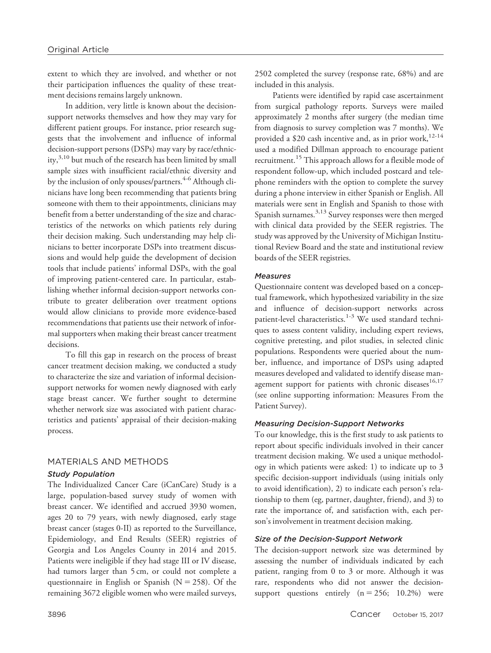extent to which they are involved, and whether or not their participation influences the quality of these treatment decisions remains largely unknown.

In addition, very little is known about the decisionsupport networks themselves and how they may vary for different patient groups. For instance, prior research suggests that the involvement and influence of informal decision-support persons (DSPs) may vary by race/ethnicity, $3,10$  but much of the research has been limited by small sample sizes with insufficient racial/ethnic diversity and by the inclusion of only spouses/partners.<sup>4-6</sup> Although clinicians have long been recommending that patients bring someone with them to their appointments, clinicians may benefit from a better understanding of the size and characteristics of the networks on which patients rely during their decision making. Such understanding may help clinicians to better incorporate DSPs into treatment discussions and would help guide the development of decision tools that include patients' informal DSPs, with the goal of improving patient-centered care. In particular, establishing whether informal decision-support networks contribute to greater deliberation over treatment options would allow clinicians to provide more evidence-based recommendations that patients use their network of informal supporters when making their breast cancer treatment decisions.

To fill this gap in research on the process of breast cancer treatment decision making, we conducted a study to characterize the size and variation of informal decisionsupport networks for women newly diagnosed with early stage breast cancer. We further sought to determine whether network size was associated with patient characteristics and patients' appraisal of their decision-making process.

## MATERIALS AND METHODS

## Study Population

The Individualized Cancer Care (iCanCare) Study is a large, population-based survey study of women with breast cancer. We identified and accrued 3930 women, ages 20 to 79 years, with newly diagnosed, early stage breast cancer (stages 0-II) as reported to the Surveillance, Epidemiology, and End Results (SEER) registries of Georgia and Los Angeles County in 2014 and 2015. Patients were ineligible if they had stage III or IV disease, had tumors larger than 5 cm, or could not complete a questionnaire in English or Spanish ( $N = 258$ ). Of the remaining 3672 eligible women who were mailed surveys, 2502 completed the survey (response rate, 68%) and are included in this analysis.

Patients were identified by rapid case ascertainment from surgical pathology reports. Surveys were mailed approximately 2 months after surgery (the median time from diagnosis to survey completion was 7 months). We provided a \$20 cash incentive and, as in prior work,  $12-14$ used a modified Dillman approach to encourage patient recruitment.<sup>15</sup> This approach allows for a flexible mode of respondent follow-up, which included postcard and telephone reminders with the option to complete the survey during a phone interview in either Spanish or English. All materials were sent in English and Spanish to those with Spanish surnames.3,13 Survey responses were then merged with clinical data provided by the SEER registries. The study was approved by the University of Michigan Institutional Review Board and the state and institutional review boards of the SEER registries.

#### **Measures**

Questionnaire content was developed based on a conceptual framework, which hypothesized variability in the size and influence of decision-support networks across patient-level characteristics.<sup>1-3</sup> We used standard techniques to assess content validity, including expert reviews, cognitive pretesting, and pilot studies, in selected clinic populations. Respondents were queried about the number, influence, and importance of DSPs using adapted measures developed and validated to identify disease management support for patients with chronic diseases<sup>16,17</sup> (see online supporting information: Measures From the Patient Survey).

## Measuring Decision-Support Networks

To our knowledge, this is the first study to ask patients to report about specific individuals involved in their cancer treatment decision making. We used a unique methodology in which patients were asked: 1) to indicate up to 3 specific decision-support individuals (using initials only to avoid identification), 2) to indicate each person's relationship to them (eg, partner, daughter, friend), and 3) to rate the importance of, and satisfaction with, each person's involvement in treatment decision making.

#### Size of the Decision-Support Network

The decision-support network size was determined by assessing the number of individuals indicated by each patient, ranging from 0 to 3 or more. Although it was rare, respondents who did not answer the decisionsupport questions entirely  $(n = 256; 10.2\%)$  were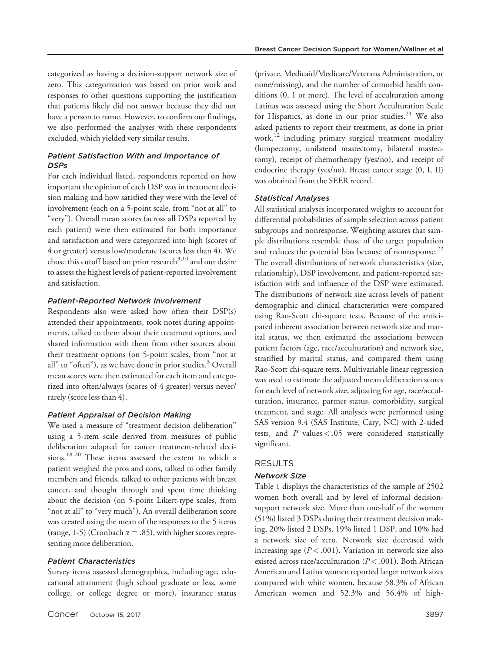categorized as having a decision-support network size of zero. This categorization was based on prior work and responses to other questions supporting the justification that patients likely did not answer because they did not have a person to name. However, to confirm our findings, we also performed the analyses with these respondents excluded, which yielded very similar results.

## Patient Satisfaction With and Importance of **DSPs**

For each individual listed, respondents reported on how important the opinion of each DSP was in treatment decision making and how satisfied they were with the level of involvement (each on a 5-point scale, from "not at all" to "very"). Overall mean scores (across all DSPs reported by each patient) were then estimated for both importance and satisfaction and were categorized into high (scores of 4 or greater) versus low/moderate (scores less than 4). We chose this cutoff based on prior research $3,10$  and our desire to assess the highest levels of patient-reported involvement and satisfaction.

### Patient-Reported Network Involvement

Respondents also were asked how often their DSP(s) attended their appointments, took notes during appointments, talked to them about their treatment options, and shared information with them from other sources about their treatment options (on 5-point scales, from "not at all" to "often"), as we have done in prior studies.<sup>3</sup> Overall mean scores were then estimated for each item and categorized into often/always (scores of 4 greater) versus never/ rarely (score less than 4).

## Patient Appraisal of Decision Making

We used a measure of "treatment decision deliberation" using a 5-item scale derived from measures of public deliberation adapted for cancer treatment-related decisions.18-20 These items assessed the extent to which a patient weighed the pros and cons, talked to other family members and friends, talked to other patients with breast cancer, and thought through and spent time thinking about the decision (on 5-point Likert-type scales, from "not at all" to "very much"). An overall deliberation score was created using the mean of the responses to the 5 items (range, 1-5) (Cronbach  $\alpha$  = .85), with higher scores representing more deliberation.

#### Patient Characteristics

Survey items assessed demographics, including age, educational attainment (high school graduate or less, some college, or college degree or more), insurance status

(private, Medicaid/Medicare/Veterans Administration, or none/missing), and the number of comorbid health conditions (0, 1 or more). The level of acculturation among Latinas was assessed using the Short Acculturation Scale for Hispanics, as done in our prior studies. $21$  We also asked patients to report their treatment, as done in prior work, $12$  including primary surgical treatment modality (lumpectomy, unilateral mastectomy, bilateral mastectomy), receipt of chemotherapy (yes/no), and receipt of endocrine therapy (yes/no). Breast cancer stage (0, I, II) was obtained from the SEER record.

## Statistical Analyses

All statistical analyses incorporated weights to account for differential probabilities of sample selection across patient subgroups and nonresponse. Weighting assures that sample distributions resemble those of the target population and reduces the potential bias because of nonresponse.<sup>22</sup> The overall distributions of network characteristics (size, relationship), DSP involvement, and patient-reported satisfaction with and influence of the DSP were estimated. The distributions of network size across levels of patient demographic and clinical characteristics were compared using Rao-Scott chi-square tests. Because of the anticipated inherent association between network size and marital status, we then estimated the associations between patient factors (age, race/acculturation) and network size, stratified by marital status, and compared them using Rao-Scott chi-square tests. Multivariable linear regression was used to estimate the adjusted mean deliberation scores for each level of network size, adjusting for age, race/acculturation, insurance, partner status, comorbidity, surgical treatment, and stage. All analyses were performed using SAS version 9.4 (SAS Institute, Cary, NC) with 2-sided tests, and  $P$  values < .05 were considered statistically significant.

### RESULTS

## Network Size

Table 1 displays the characteristics of the sample of 2502 women both overall and by level of informal decisionsupport network size. More than one-half of the women (51%) listed 3 DSPs during their treatment decision making, 20% listed 2 DSPs, 19% listed 1 DSP, and 10% had a network size of zero. Network size decreased with increasing age  $(P < .001)$ . Variation in network size also existed across race/acculturation ( $P < .001$ ). Both African American and Latina women reported larger network sizes compared with white women, because 58.3% of African American women and 52.3% and 56.4% of high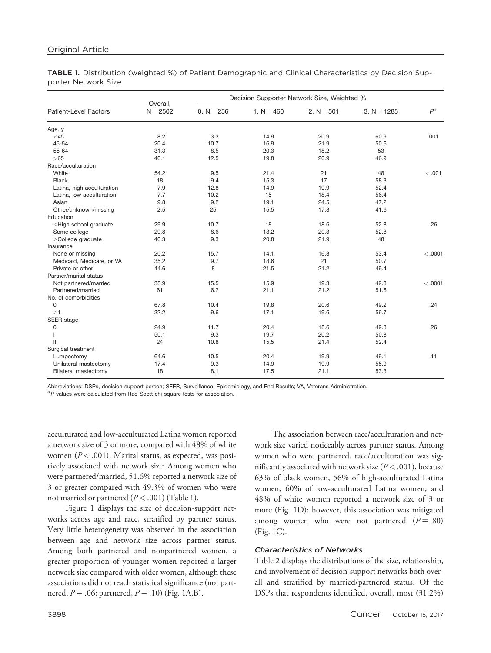TABLE 1. Distribution (weighted %) of Patient Demographic and Clinical Characteristics by Decision Supporter Network Size

| <b>Patient-Level Factors</b>                                                                                          | Overall,<br>$N = 2502$ | Decision Supporter Network Size, Weighted % |              |              |               |         |
|-----------------------------------------------------------------------------------------------------------------------|------------------------|---------------------------------------------|--------------|--------------|---------------|---------|
|                                                                                                                       |                        | $0, N = 256$                                | 1, $N = 460$ | 2, $N = 501$ | $3. N = 1285$ | $P^a$   |
| Age, y                                                                                                                |                        |                                             |              |              |               |         |
| $<$ 45                                                                                                                | 8.2                    | 3.3                                         | 14.9         | 20.9         | 60.9          | .001    |
| 45-54                                                                                                                 | 20.4                   | 10.7                                        | 16.9         | 21.9         | 50.6          |         |
| 55-64                                                                                                                 | 31.3                   | 8.5                                         | 20.3         | 18.2         | 53            |         |
| > 65                                                                                                                  | 40.1                   | 12.5                                        | 19.8         | 20.9         | 46.9          |         |
| Race/acculturation                                                                                                    |                        |                                             |              |              |               |         |
| White                                                                                                                 | 54.2                   | 9.5                                         | 21.4         | 21           | 48            | < .001  |
| <b>Black</b>                                                                                                          | 18                     | 9.4                                         | 15.3         | 17           | 58.3          |         |
| Latina, high acculturation                                                                                            | 7.9                    | 12.8                                        | 14.9         | 19.9         | 52.4          |         |
| Latina, low acculturation                                                                                             | 7.7                    | 10.2                                        | 15           | 18.4         | 56.4          |         |
| Asian                                                                                                                 | 9.8                    | 9.2                                         | 19.1         | 24.5         | 47.2          |         |
| Other/unknown/missing                                                                                                 | 2.5                    | 25                                          | 15.5         | 17.8         | 41.6          |         |
| Education                                                                                                             |                        |                                             |              |              |               |         |
| <high graduate<="" school="" td=""><td>29.9</td><td>10.7</td><td>18</td><td>18.6</td><td>52.8</td><td>.26</td></high> | 29.9                   | 10.7                                        | 18           | 18.6         | 52.8          | .26     |
| Some college                                                                                                          | 29.8                   | 8.6                                         | 18.2         | 20.3         | 52.8          |         |
| $\geq$ College graduate                                                                                               | 40.3                   | 9.3                                         | 20.8         | 21.9         | 48            |         |
| Insurance                                                                                                             |                        |                                             |              |              |               |         |
| None or missing                                                                                                       | 20.2                   | 15.7                                        | 14.1         | 16.8         | 53.4          | < .0001 |
| Medicaid, Medicare, or VA                                                                                             | 35.2                   | 9.7                                         | 18.6         | 21           | 50.7          |         |
| Private or other                                                                                                      | 44.6                   | 8                                           | 21.5         | 21.2         | 49.4          |         |
| Partner/marital status                                                                                                |                        |                                             |              |              |               |         |
| Not partnered/married                                                                                                 | 38.9                   | 15.5                                        | 15.9         | 19.3         | 49.3          | < .0001 |
| Partnered/married                                                                                                     | 61                     | 6.2                                         | 21.1         | 21.2         | 51.6          |         |
| No. of comorbidities                                                                                                  |                        |                                             |              |              |               |         |
| $\mathbf 0$                                                                                                           | 67.8                   | 10.4                                        | 19.8         | 20.6         | 49.2          | .24     |
| >1                                                                                                                    | 32.2                   | 9.6                                         | 17.1         | 19.6         | 56.7          |         |
| SEER stage                                                                                                            |                        |                                             |              |              |               |         |
| 0                                                                                                                     | 24.9                   | 11.7                                        | 20.4         | 18.6         | 49.3          | .26     |
|                                                                                                                       | 50.1                   | 9.3                                         | 19.7         | 20.2         | 50.8          |         |
| Ш                                                                                                                     | 24                     | 10.8                                        | 15.5         | 21.4         | 52.4          |         |
| Surgical treatment                                                                                                    |                        |                                             |              |              |               |         |
| Lumpectomy                                                                                                            | 64.6                   | 10.5                                        | 20.4         | 19.9         | 49.1          | .11     |
| Unilateral mastectomy                                                                                                 | 17.4                   | 9.3                                         | 14.9         | 19.9         | 55.9          |         |
| <b>Bilateral mastectomy</b>                                                                                           | 18                     | 8.1                                         | 17.5         | 21.1         | 53.3          |         |

Abbreviations: DSPs, decision-support person; SEER, Surveillance, Epidemiology, and End Results; VA, Veterans Administration.

 ${}^{a}P$  values were calculated from Rao-Scott chi-square tests for association.

acculturated and low-acculturated Latina women reported a network size of 3 or more, compared with 48% of white women ( $P < .001$ ). Marital status, as expected, was positively associated with network size: Among women who were partnered/married, 51.6% reported a network size of 3 or greater compared with 49.3% of women who were not married or partnered  $(P < .001)$  (Table 1).

Figure 1 displays the size of decision-support networks across age and race, stratified by partner status. Very little heterogeneity was observed in the association between age and network size across partner status. Among both partnered and nonpartnered women, a greater proportion of younger women reported a larger network size compared with older women, although these associations did not reach statistical significance (not partnered,  $P = .06$ ; partnered,  $P = .10$ ) (Fig. 1A,B).

The association between race/acculturation and network size varied noticeably across partner status. Among women who were partnered, race/acculturation was significantly associated with network size ( $P < .001$ ), because 63% of black women, 56% of high-acculturated Latina women, 60% of low-acculturated Latina women, and 48% of white women reported a network size of 3 or more (Fig. 1D); however, this association was mitigated among women who were not partnered  $(P=.80)$ (Fig. 1C).

#### Characteristics of Networks

Table 2 displays the distributions of the size, relationship, and involvement of decision-support networks both overall and stratified by married/partnered status. Of the DSPs that respondents identified, overall, most (31.2%)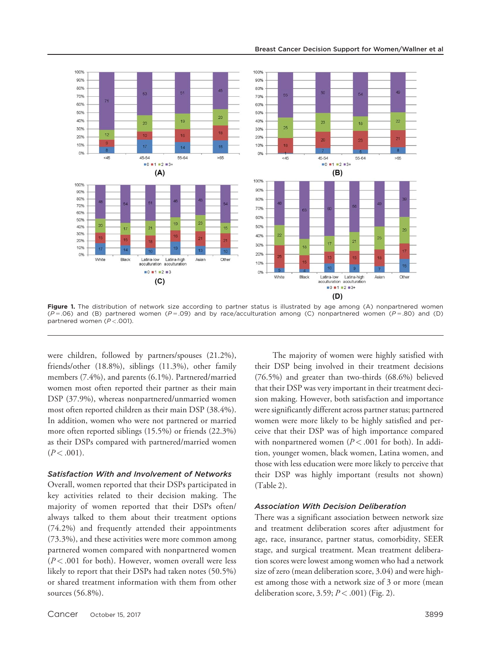

Figure 1. The distribution of network size according to partner status is illustrated by age among (A) nonpartnered women  $(P=.06)$  and (B) partnered women (P=.09) and by race/acculturation among (C) nonpartnered women (P=.80) and (D) partnered women  $(P < .001)$ .

were children, followed by partners/spouses (21.2%), friends/other (18.8%), siblings (11.3%), other family members (7.4%), and parents (6.1%). Partnered/married women most often reported their partner as their main DSP (37.9%), whereas nonpartnered/unmarried women most often reported children as their main DSP (38.4%). In addition, women who were not partnered or married more often reported siblings (15.5%) or friends (22.3%) as their DSPs compared with partnered/married women  $(P < .001)$ .

#### Satisfaction With and Involvement of Networks

Overall, women reported that their DSPs participated in key activities related to their decision making. The majority of women reported that their DSPs often/ always talked to them about their treatment options (74.2%) and frequently attended their appointments (73.3%), and these activities were more common among partnered women compared with nonpartnered women  $(P<.001$  for both). However, women overall were less likely to report that their DSPs had taken notes (50.5%) or shared treatment information with them from other sources (56.8%).

The majority of women were highly satisfied with their DSP being involved in their treatment decisions (76.5%) and greater than two-thirds (68.6%) believed that their DSP was very important in their treatment decision making. However, both satisfaction and importance were significantly different across partner status; partnered women were more likely to be highly satisfied and perceive that their DSP was of high importance compared with nonpartnered women  $(P < .001$  for both). In addition, younger women, black women, Latina women, and those with less education were more likely to perceive that their DSP was highly important (results not shown) (Table 2).

#### Association With Decision Deliberation

There was a significant association between network size and treatment deliberation scores after adjustment for age, race, insurance, partner status, comorbidity, SEER stage, and surgical treatment. Mean treatment deliberation scores were lowest among women who had a network size of zero (mean deliberation score, 3.04) and were highest among those with a network size of 3 or more (mean deliberation score,  $3.59; P < .001$ ) (Fig. 2).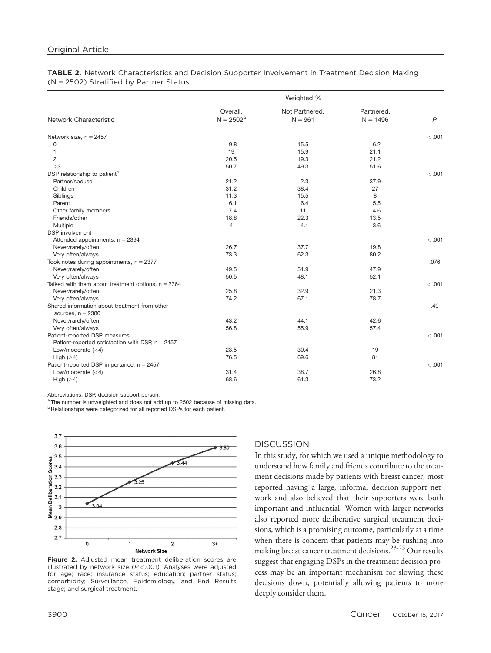#### TABLE 2. Network Characteristics and Decision Supporter Involvement in Treatment Decision Making  $(N = 2502)$  Stratified by Partner Status

|                                                                      | Weighted %               |                             |                          |              |  |  |
|----------------------------------------------------------------------|--------------------------|-----------------------------|--------------------------|--------------|--|--|
| Network Characteristic                                               | Overall,<br>$N = 2502^a$ | Not Partnered,<br>$N = 961$ | Partnered,<br>$N = 1496$ | $\mathsf{P}$ |  |  |
| Network size, $n = 2457$                                             |                          |                             |                          | < 0.001      |  |  |
| 0                                                                    | 9.8                      | 15.5                        | 6.2                      |              |  |  |
| $\mathbf{1}$                                                         | 19                       | 15.9                        | 21.1                     |              |  |  |
| 2                                                                    | 20.5                     | 19.3                        | 21.2                     |              |  |  |
| >3                                                                   | 50.7                     | 49.3                        | 51.6                     |              |  |  |
| DSP relationship to patient <sup>b</sup>                             |                          |                             |                          | < 0.001      |  |  |
| Partner/spouse                                                       | 21.2                     | 2.3                         | 37.9                     |              |  |  |
| Children                                                             | 31.2                     | 38.4                        | 27                       |              |  |  |
| Siblings                                                             | 11.3                     | 15.5                        | 8                        |              |  |  |
| Parent                                                               | 6.1                      | 6.4                         | 5.5                      |              |  |  |
| Other family members                                                 | 7.4                      | 11                          | 4.6                      |              |  |  |
| Friends/other                                                        | 18.8                     | 22.3                        | 13.5                     |              |  |  |
| Multiple                                                             | 4                        | 4.1                         | 3.6                      |              |  |  |
| <b>DSP</b> involvement                                               |                          |                             |                          |              |  |  |
| Attended appointments, $n = 2394$                                    |                          |                             |                          | < 0.001      |  |  |
| Never/rarely/often                                                   | 26.7                     | 37.7                        | 19.8                     |              |  |  |
| Very often/always                                                    | 73.3                     | 62.3                        | 80.2                     |              |  |  |
| Took notes during appointments, $n = 2377$                           |                          |                             |                          | .076         |  |  |
| Never/rarely/often                                                   | 49.5                     | 51.9                        | 47.9                     |              |  |  |
| Very often/always                                                    | 50.5                     | 48.1                        | 52.1                     |              |  |  |
| Talked with them about treatment options, $n = 2364$                 |                          |                             |                          | < 0.001      |  |  |
| Never/rarely/often                                                   | 25.8                     | 32.9                        | 21.3                     |              |  |  |
| Very often/always                                                    | 74.2                     | 67.1                        | 78.7                     |              |  |  |
| Shared information about treatment from other<br>sources, $n = 2380$ |                          |                             |                          | .49          |  |  |
| Never/rarely/often                                                   | 43.2                     | 44.1                        | 42.6                     |              |  |  |
| Very often/always                                                    | 56.8                     | 55.9                        | 57.4                     |              |  |  |
| Patient-reported DSP measures                                        |                          |                             |                          | < 0.001      |  |  |
| Patient-reported satisfaction with DSP, $n = 2457$                   |                          |                             |                          |              |  |  |
| Low/moderate $(<4)$                                                  | 23.5                     | 30.4                        | 19                       |              |  |  |
| High $(≥4)$                                                          | 76.5                     | 69.6                        | 81                       |              |  |  |
| Patient-reported DSP importance, $n = 2457$                          |                          |                             |                          | < 0.001      |  |  |
| Low/moderate $(<4)$                                                  | 31.4                     | 38.7                        | 26.8                     |              |  |  |
| High $(\geq 4)$                                                      | 68.6                     | 61.3                        | 73.2                     |              |  |  |

Abbreviations: DSP, decision support person.

<sup>a</sup> The number is unweighted and does not add up to 2502 because of missing data.

**b** Relationships were categorized for all reported DSPs for each patient.





# **DISCUSSION**

In this study, for which we used a unique methodology to understand how family and friends contribute to the treatment decisions made by patients with breast cancer, most reported having a large, informal decision-support network and also believed that their supporters were both important and influential. Women with larger networks also reported more deliberative surgical treatment decisions, which is a promising outcome, particularly at a time when there is concern that patients may be rushing into making breast cancer treatment decisions.23-25 Our results suggest that engaging DSPs in the treatment decision process may be an important mechanism for slowing these decisions down, potentially allowing patients to more deeply consider them.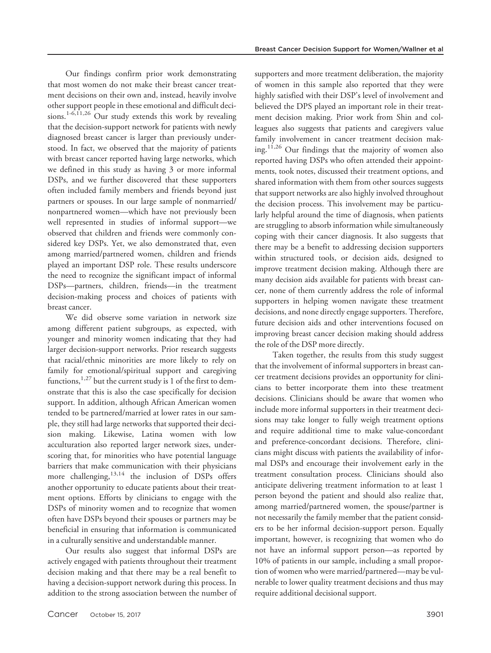Our findings confirm prior work demonstrating that most women do not make their breast cancer treatment decisions on their own and, instead, heavily involve other support people in these emotional and difficult decisions.<sup>1-6,11,26</sup> Our study extends this work by revealing that the decision-support network for patients with newly diagnosed breast cancer is larger than previously understood. In fact, we observed that the majority of patients with breast cancer reported having large networks, which we defined in this study as having 3 or more informal DSPs, and we further discovered that these supporters often included family members and friends beyond just partners or spouses. In our large sample of nonmarried/ nonpartnered women—which have not previously been well represented in studies of informal support—we observed that children and friends were commonly considered key DSPs. Yet, we also demonstrated that, even among married/partnered women, children and friends played an important DSP role. These results underscore the need to recognize the significant impact of informal DSPs—partners, children, friends—in the treatment decision-making process and choices of patients with breast cancer.

We did observe some variation in network size among different patient subgroups, as expected, with younger and minority women indicating that they had larger decision-support networks. Prior research suggests that racial/ethnic minorities are more likely to rely on family for emotional/spiritual support and caregiving functions,  $1.27$  but the current study is 1 of the first to demonstrate that this is also the case specifically for decision support. In addition, although African American women tended to be partnered/married at lower rates in our sample, they still had large networks that supported their decision making. Likewise, Latina women with low acculturation also reported larger network sizes, underscoring that, for minorities who have potential language barriers that make communication with their physicians more challenging,  $13,14$  the inclusion of DSPs offers another opportunity to educate patients about their treatment options. Efforts by clinicians to engage with the DSPs of minority women and to recognize that women often have DSPs beyond their spouses or partners may be beneficial in ensuring that information is communicated in a culturally sensitive and understandable manner.

Our results also suggest that informal DSPs are actively engaged with patients throughout their treatment decision making and that there may be a real benefit to having a decision-support network during this process. In addition to the strong association between the number of supporters and more treatment deliberation, the majority of women in this sample also reported that they were highly satisfied with their DSP's level of involvement and believed the DPS played an important role in their treatment decision making. Prior work from Shin and colleagues also suggests that patients and caregivers value family involvement in cancer treatment decision making.<sup>11,26</sup> Our findings that the majority of women also reported having DSPs who often attended their appointments, took notes, discussed their treatment options, and shared information with them from other sources suggests that support networks are also highly involved throughout the decision process. This involvement may be particularly helpful around the time of diagnosis, when patients are struggling to absorb information while simultaneously coping with their cancer diagnosis. It also suggests that there may be a benefit to addressing decision supporters within structured tools, or decision aids, designed to improve treatment decision making. Although there are many decision aids available for patients with breast cancer, none of them currently address the role of informal supporters in helping women navigate these treatment decisions, and none directly engage supporters. Therefore, future decision aids and other interventions focused on improving breast cancer decision making should address the role of the DSP more directly.

Taken together, the results from this study suggest that the involvement of informal supporters in breast cancer treatment decisions provides an opportunity for clinicians to better incorporate them into these treatment decisions. Clinicians should be aware that women who include more informal supporters in their treatment decisions may take longer to fully weigh treatment options and require additional time to make value-concordant and preference-concordant decisions. Therefore, clinicians might discuss with patients the availability of informal DSPs and encourage their involvement early in the treatment consultation process. Clinicians should also anticipate delivering treatment information to at least 1 person beyond the patient and should also realize that, among married/partnered women, the spouse/partner is not necessarily the family member that the patient considers to be her informal decision-support person. Equally important, however, is recognizing that women who do not have an informal support person—as reported by 10% of patients in our sample, including a small proportion of women who were married/partnered—may be vulnerable to lower quality treatment decisions and thus may require additional decisional support.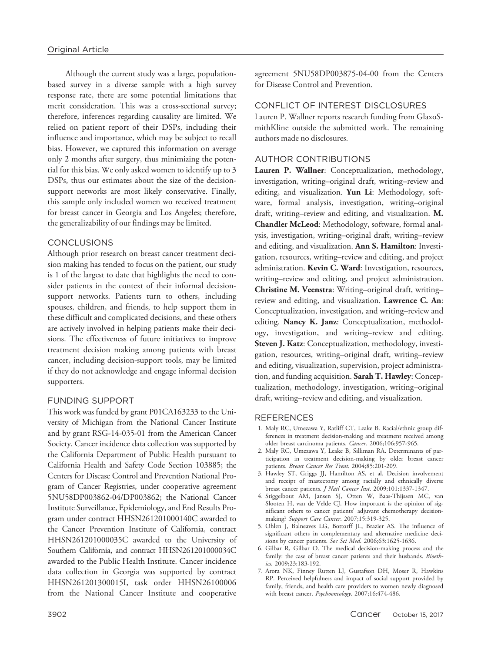Although the current study was a large, populationbased survey in a diverse sample with a high survey response rate, there are some potential limitations that merit consideration. This was a cross-sectional survey; therefore, inferences regarding causality are limited. We relied on patient report of their DSPs, including their influence and importance, which may be subject to recall bias. However, we captured this information on average only 2 months after surgery, thus minimizing the potential for this bias. We only asked women to identify up to 3 DSPs, thus our estimates about the size of the decisionsupport networks are most likely conservative. Finally, this sample only included women wo received treatment for breast cancer in Georgia and Los Angeles; therefore, the generalizability of our findings may be limited.

# CONCLUSIONS

Although prior research on breast cancer treatment decision making has tended to focus on the patient, our study is 1 of the largest to date that highlights the need to consider patients in the context of their informal decisionsupport networks. Patients turn to others, including spouses, children, and friends, to help support them in these difficult and complicated decisions, and these others are actively involved in helping patients make their decisions. The effectiveness of future initiatives to improve treatment decision making among patients with breast cancer, including decision-support tools, may be limited if they do not acknowledge and engage informal decision supporters.

# FUNDING SUPPORT

This work was funded by grant P01CA163233 to the University of Michigan from the National Cancer Institute and by grant RSG-14-035-01 from the American Cancer Society. Cancer incidence data collection was supported by the California Department of Public Health pursuant to California Health and Safety Code Section 103885; the Centers for Disease Control and Prevention National Program of Cancer Registries, under cooperative agreement 5NU58DP003862-04/DP003862; the National Cancer Institute Surveillance, Epidemiology, and End Results Program under contract HHSN261201000140C awarded to the Cancer Prevention Institute of California, contract HHSN261201000035C awarded to the University of Southern California, and contract HHSN261201000034C awarded to the Public Health Institute. Cancer incidence data collection in Georgia was supported by contract HHSN261201300015I, task order HHSN26100006 from the National Cancer Institute and cooperative

agreement 5NU58DP003875-04-00 from the Centers for Disease Control and Prevention.

# CONFLICT OF INTEREST DISCLOSURES

Lauren P. Wallner reports research funding from GlaxoSmithKline outside the submitted work. The remaining authors made no disclosures.

# AUTHOR CONTRIBUTIONS

Lauren P. Wallner: Conceptualization, methodology, investigation, writing–original draft, writing–review and editing, and visualization. Yun Li: Methodology, software, formal analysis, investigation, writing–original draft, writing–review and editing, and visualization. M. Chandler McLeod: Methodology, software, formal analysis, investigation, writing–original draft, writing–review and editing, and visualization. Ann S. Hamilton: Investigation, resources, writing–review and editing, and project administration. Kevin C. Ward: Investigation, resources, writing–review and editing, and project administration. Christine M. Veenstra: Writing–original draft, writing– review and editing, and visualization. Lawrence C. An: Conceptualization, investigation, and writing–review and editing. Nancy K. Janz: Conceptualization, methodology, investigation, and writing–review and editing. Steven J. Katz: Conceptualization, methodology, investigation, resources, writing–original draft, writing–review and editing, visualization, supervision, project administration, and funding acquisition. Sarah T. Hawley: Conceptualization, methodology, investigation, writing–original draft, writing–review and editing, and visualization.

# **REFERENCES**

- 1. Maly RC, Umezawa Y, Ratliff CT, Leake B. Racial/ethnic group differences in treatment decision-making and treatment received among older breast carcinoma patients. Cancer. 2006;106:957-965.
- 2. Maly RC, Umezawa Y, Leake B, Silliman RA. Determinants of participation in treatment decision-making by older breast cancer patients. Breast Cancer Res Treat. 2004;85:201-209.
- 3. Hawley ST, Griggs JJ, Hamilton AS, et al. Decision involvement and receipt of mastectomy among racially and ethnically diverse breast cancer patients. J Natl Cancer Inst. 2009;101:1337-1347.
- 4. Stiggelbout AM, Jansen SJ, Otten W, Baas-Thijssen MC, van Slooten H, van de Velde CJ. How important is the opinion of significant others to cancer patients' adjuvant chemotherapy decisionmaking? Support Care Cancer. 2007;15:319-325.
- 5. Ohlen J, Balneaves LG, Bottorff JL, Brazier AS. The influence of significant others in complementary and alternative medicine decisions by cancer patients. Soc Sci Med. 2006;63:1625-1636.
- 6. Gilbar R, Gilbar O. The medical decision-making process and the family: the case of breast cancer patients and their husbands. Bioethics. 2009;23:183-192.
- 7. Arora NK, Finney Rutten LJ, Gustafson DH, Moser R, Hawkins RP. Perceived helpfulness and impact of social support provided by family, friends, and health care providers to women newly diagnosed with breast cancer. Psychooncology. 2007;16:474-486.